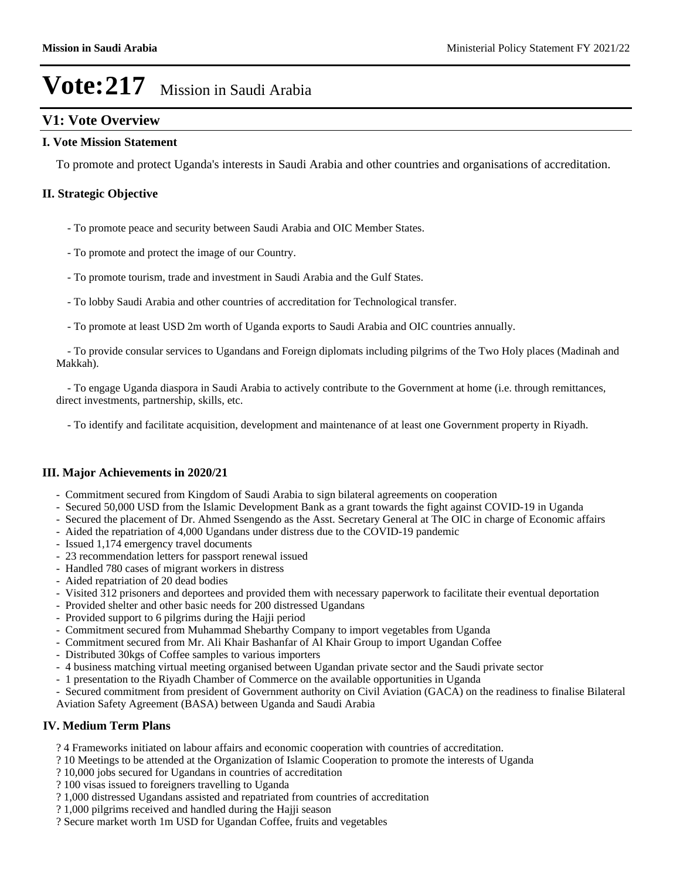## **V1: Vote Overview**

#### **I. Vote Mission Statement**

To promote and protect Uganda's interests in Saudi Arabia and other countries and organisations of accreditation.

#### **II. Strategic Objective**

- To promote peace and security between Saudi Arabia and OIC Member States.
- To promote and protect the image of our Country.
- To promote tourism, trade and investment in Saudi Arabia and the Gulf States.
- To lobby Saudi Arabia and other countries of accreditation for Technological transfer.
- To promote at least USD 2m worth of Uganda exports to Saudi Arabia and OIC countries annually.

 - To provide consular services to Ugandans and Foreign diplomats including pilgrims of the Two Holy places (Madinah and Makkah).

 - To engage Uganda diaspora in Saudi Arabia to actively contribute to the Government at home (i.e. through remittances, direct investments, partnership, skills, etc.

- To identify and facilitate acquisition, development and maintenance of at least one Government property in Riyadh.

#### **III. Major Achievements in 2020/21**

- Commitment secured from Kingdom of Saudi Arabia to sign bilateral agreements on cooperation
- Secured 50,000 USD from the Islamic Development Bank as a grant towards the fight against COVID-19 in Uganda
- Secured the placement of Dr. Ahmed Ssengendo as the Asst. Secretary General at The OIC in charge of Economic affairs
- Aided the repatriation of 4,000 Ugandans under distress due to the COVID-19 pandemic
- Issued 1,174 emergency travel documents
- 23 recommendation letters for passport renewal issued
- Handled 780 cases of migrant workers in distress
- Aided repatriation of 20 dead bodies
- Visited 312 prisoners and deportees and provided them with necessary paperwork to facilitate their eventual deportation
- Provided shelter and other basic needs for 200 distressed Ugandans
- Provided support to 6 pilgrims during the Hajji period
- Commitment secured from Muhammad Shebarthy Company to import vegetables from Uganda
- Commitment secured from Mr. Ali Khair Bashanfar of Al Khair Group to import Ugandan Coffee
- Distributed 30kgs of Coffee samples to various importers
- 4 business matching virtual meeting organised between Ugandan private sector and the Saudi private sector
- 1 presentation to the Riyadh Chamber of Commerce on the available opportunities in Uganda
- Secured commitment from president of Government authority on Civil Aviation (GACA) on the readiness to finalise Bilateral Aviation Safety Agreement (BASA) between Uganda and Saudi Arabia

#### **IV. Medium Term Plans**

- ? 4 Frameworks initiated on labour affairs and economic cooperation with countries of accreditation.
- ? 10 Meetings to be attended at the Organization of Islamic Cooperation to promote the interests of Uganda
- ? 10,000 jobs secured for Ugandans in countries of accreditation
- ? 100 visas issued to foreigners travelling to Uganda
- ? 1,000 distressed Ugandans assisted and repatriated from countries of accreditation
- ? 1,000 pilgrims received and handled during the Hajji season
- ? Secure market worth 1m USD for Ugandan Coffee, fruits and vegetables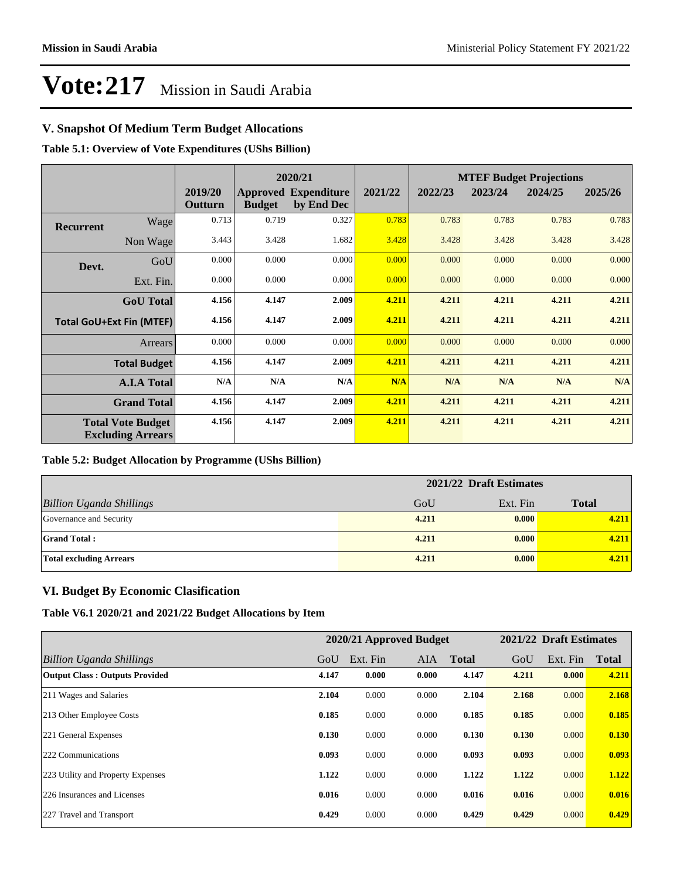### **V. Snapshot Of Medium Term Budget Allocations**

**Table 5.1: Overview of Vote Expenditures (UShs Billion)**

|                  | 2020/21                                              |                    |               |                                           | <b>MTEF Budget Projections</b> |         |         |         |         |
|------------------|------------------------------------------------------|--------------------|---------------|-------------------------------------------|--------------------------------|---------|---------|---------|---------|
|                  |                                                      | 2019/20<br>Outturn | <b>Budget</b> | <b>Approved Expenditure</b><br>by End Dec | 2021/22                        | 2022/23 | 2023/24 | 2024/25 | 2025/26 |
| <b>Recurrent</b> | Wage                                                 | 0.713              | 0.719         | 0.327                                     | 0.783                          | 0.783   | 0.783   | 0.783   | 0.783   |
|                  | Non Wage                                             | 3.443              | 3.428         | 1.682                                     | 3.428                          | 3.428   | 3.428   | 3.428   | 3.428   |
| Devt.            | GoU                                                  | 0.000              | 0.000         | 0.000                                     | 0.000                          | 0.000   | 0.000   | 0.000   | 0.000   |
|                  | Ext. Fin.                                            | 0.000              | 0.000         | 0.000                                     | 0.000                          | 0.000   | 0.000   | 0.000   | 0.000   |
|                  | <b>GoU</b> Total                                     | 4.156              | 4.147         | 2.009                                     | 4.211                          | 4.211   | 4.211   | 4.211   | 4.211   |
|                  | <b>Total GoU+Ext Fin (MTEF)</b>                      | 4.156              | 4.147         | 2.009                                     | 4.211                          | 4.211   | 4.211   | 4.211   | 4.211   |
|                  | <b>Arrears</b>                                       | 0.000              | 0.000         | 0.000                                     | 0.000                          | 0.000   | 0.000   | 0.000   | 0.000   |
|                  | <b>Total Budget</b>                                  | 4.156              | 4.147         | 2.009                                     | 4.211                          | 4.211   | 4.211   | 4.211   | 4.211   |
|                  | <b>A.I.A Total</b>                                   | N/A                | N/A           | N/A                                       | N/A                            | N/A     | N/A     | N/A     | N/A     |
|                  | <b>Grand Total</b>                                   | 4.156              | 4.147         | 2.009                                     | 4.211                          | 4.211   | 4.211   | 4.211   | 4.211   |
|                  | <b>Total Vote Budget</b><br><b>Excluding Arrears</b> | 4.156              | 4.147         | 2.009                                     | 4.211                          | 4.211   | 4.211   | 4.211   | 4.211   |

#### **Table 5.2: Budget Allocation by Programme (UShs Billion)**

|                                 | 2021/22 Draft Estimates |          |              |
|---------------------------------|-------------------------|----------|--------------|
| <b>Billion Uganda Shillings</b> | GoU                     | Ext. Fin | <b>Total</b> |
| Governance and Security         | 4.211                   | 0.000    | 4.211        |
| <b>Grand Total:</b>             | 4.211                   | 0.000    | 4.211        |
| <b>Total excluding Arrears</b>  | 4.211                   | 0.000    | 4.211        |

#### **VI. Budget By Economic Clasification**

**Table V6.1 2020/21 and 2021/22 Budget Allocations by Item**

|                                       |       | 2020/21 Approved Budget |       |              |       | 2021/22 Draft Estimates |              |
|---------------------------------------|-------|-------------------------|-------|--------------|-------|-------------------------|--------------|
| Billion Uganda Shillings              | GoU   | Ext. Fin                | AIA.  | <b>Total</b> | GoU   | Ext. Fin                | <b>Total</b> |
| <b>Output Class: Outputs Provided</b> | 4.147 | 0.000                   | 0.000 | 4.147        | 4.211 | 0.000                   | 4.211        |
| 211 Wages and Salaries                | 2.104 | 0.000                   | 0.000 | 2.104        | 2.168 | 0.000                   | 2.168        |
| 213 Other Employee Costs              | 0.185 | 0.000                   | 0.000 | 0.185        | 0.185 | 0.000                   | 0.185        |
| 221 General Expenses                  | 0.130 | 0.000                   | 0.000 | 0.130        | 0.130 | 0.000                   | 0.130        |
| 222 Communications                    | 0.093 | 0.000                   | 0.000 | 0.093        | 0.093 | 0.000                   | 0.093        |
| 223 Utility and Property Expenses     | 1.122 | 0.000                   | 0.000 | 1.122        | 1.122 | 0.000                   | 1.122        |
| 226 Insurances and Licenses           | 0.016 | 0.000                   | 0.000 | 0.016        | 0.016 | 0.000                   | 0.016        |
| 227 Travel and Transport              | 0.429 | 0.000                   | 0.000 | 0.429        | 0.429 | 0.000                   | 0.429        |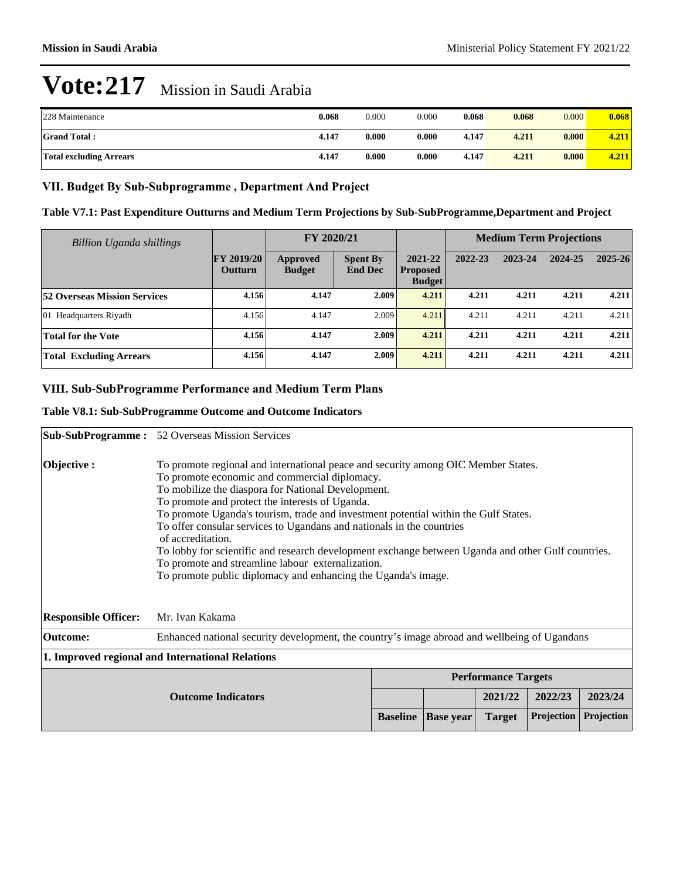| 228 Maintenance                | 0.068 | 0.000 | 0.000 | 0.068 | 0.068 | 0.000 | 0.068 |
|--------------------------------|-------|-------|-------|-------|-------|-------|-------|
| <b>Grand Total:</b>            | 4.147 | 0.000 | 0.000 | 4.147 | 4.211 | 0.000 | 4.211 |
| <b>Total excluding Arrears</b> | 4.147 | 0.000 | 0.000 | 4.147 | 4.211 | 0.000 | 4.211 |

#### VII. Budget By Sub-Subprogramme, Department And Project

**Table V7.1: Past Expenditure Outturns and Medium Term Projections by Sub-SubProgramme,Department and Project**

| <b>Billion Uganda shillings</b>     |                                     | FY 2020/21                |                                   |                                             | <b>Medium Term Projections</b> |         |         |             |
|-------------------------------------|-------------------------------------|---------------------------|-----------------------------------|---------------------------------------------|--------------------------------|---------|---------|-------------|
|                                     | <b>FY 2019/20</b><br><b>Outturn</b> | Approved<br><b>Budget</b> | <b>Spent By</b><br><b>End Dec</b> | 2021-22<br><b>Proposed</b><br><b>Budget</b> | 2022-23                        | 2023-24 | 2024-25 | $2025 - 26$ |
| <b>52 Overseas Mission Services</b> | 4.156                               | 4.147                     | 2.009                             | 4.211                                       | 4.211                          | 4.211   | 4.211   | 4.211       |
| 01 Headquarters Riyadh              | 4.156                               | 4.147                     | 2.009                             | 4.211                                       | 4.211                          | 4.211   | 4.211   | 4.211       |
| Total for the Vote                  | 4.156                               | 4.147                     | 2.009                             | 4.211                                       | 4.211                          | 4.211   | 4.211   | 4.211       |
| <b>Total Excluding Arrears</b>      | 4.156                               | 4.147                     | 2.009                             | 4.211                                       | 4.211                          | 4.211   | 4.211   | 4.211       |

#### VIII. Sub-SubProgramme Performance and Medium Term Plans

#### **Table V8.1: Sub-SubProgramme Outcome and Outcome Indicators**

|                                                                    | <b>Sub-SubProgramme :</b> 52 Overseas Mission Services                                                                                                                                                                                                                                                                                                                                                                                                                                                                                                                                                                                                       |  |  |         |         |            |  |
|--------------------------------------------------------------------|--------------------------------------------------------------------------------------------------------------------------------------------------------------------------------------------------------------------------------------------------------------------------------------------------------------------------------------------------------------------------------------------------------------------------------------------------------------------------------------------------------------------------------------------------------------------------------------------------------------------------------------------------------------|--|--|---------|---------|------------|--|
| Objective:                                                         | To promote regional and international peace and security among OIC Member States.<br>To promote economic and commercial diplomacy.<br>To mobilize the diaspora for National Development.<br>To promote and protect the interests of Uganda.<br>To promote Uganda's tourism, trade and investment potential within the Gulf States.<br>To offer consular services to Ugandans and nationals in the countries<br>of accreditation.<br>To lobby for scientific and research development exchange between Uganda and other Gulf countries.<br>To promote and streamline labour externalization.<br>To promote public diplomacy and enhancing the Uganda's image. |  |  |         |         |            |  |
| <b>Responsible Officer:</b>                                        | Mr. Ivan Kakama                                                                                                                                                                                                                                                                                                                                                                                                                                                                                                                                                                                                                                              |  |  |         |         |            |  |
| <b>Outcome:</b>                                                    | Enhanced national security development, the country's image abroad and wellbeing of Ugandans                                                                                                                                                                                                                                                                                                                                                                                                                                                                                                                                                                 |  |  |         |         |            |  |
| 1. Improved regional and International Relations                   |                                                                                                                                                                                                                                                                                                                                                                                                                                                                                                                                                                                                                                                              |  |  |         |         |            |  |
| <b>Performance Targets</b>                                         |                                                                                                                                                                                                                                                                                                                                                                                                                                                                                                                                                                                                                                                              |  |  |         |         |            |  |
| <b>Outcome Indicators</b>                                          |                                                                                                                                                                                                                                                                                                                                                                                                                                                                                                                                                                                                                                                              |  |  | 2021/22 | 2022/23 | 2023/24    |  |
| Projection<br><b>Baseline</b><br><b>Target</b><br><b>Base year</b> |                                                                                                                                                                                                                                                                                                                                                                                                                                                                                                                                                                                                                                                              |  |  |         |         | Projection |  |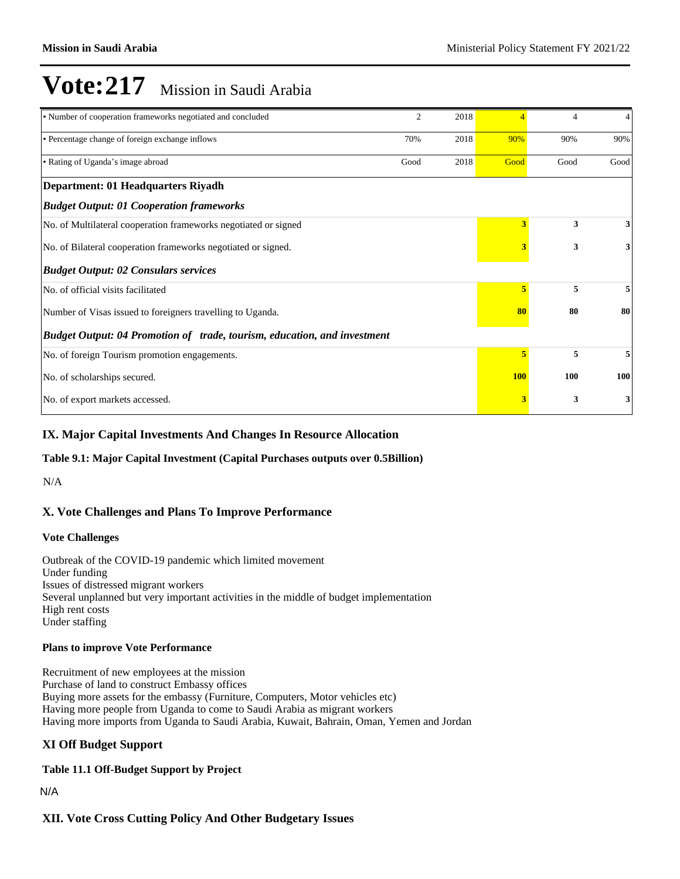| • Number of cooperation frameworks negotiated and concluded              | 2    | 2018 |            | 4    | 4    |
|--------------------------------------------------------------------------|------|------|------------|------|------|
| • Percentage change of foreign exchange inflows                          | 70%  | 2018 | 90%        | 90%  | 90%  |
| • Rating of Uganda's image abroad                                        | Good | 2018 | Good       | Good | Good |
| Department: 01 Headquarters Riyadh                                       |      |      |            |      |      |
| <b>Budget Output: 01 Cooperation frameworks</b>                          |      |      |            |      |      |
| No. of Multilateral cooperation frameworks negotiated or signed          |      |      | 3          | 3    | 3    |
| No. of Bilateral cooperation frameworks negotiated or signed.            |      | 3    | 3          | 3    |      |
| <b>Budget Output: 02 Consulars services</b>                              |      |      |            |      |      |
| No. of official visits facilitated                                       |      |      | 5          | 5    | 5    |
| Number of Visas issued to foreigners travelling to Uganda.               |      |      | 80         | 80   | 80   |
| Budget Output: 04 Promotion of trade, tourism, education, and investment |      |      |            |      |      |
| No. of foreign Tourism promotion engagements.                            |      |      | 5          | 5    | 5    |
| No. of scholarships secured.                                             |      |      | <b>100</b> | 100  | 100  |
| No. of export markets accessed.                                          |      |      | 3          | 3    | 3    |

#### **IX. Major Capital Investments And Changes In Resource Allocation**

#### **Table 9.1: Major Capital Investment (Capital Purchases outputs over 0.5Billion)**

N/A

### **X. Vote Challenges and Plans To Improve Performance**

#### **Vote Challenges**

Outbreak of the COVID-19 pandemic which limited movement Under funding Issues of distressed migrant workers Several unplanned but very important activities in the middle of budget implementation High rent costs Under staffing

#### **Plans to improve Vote Performance**

Recruitment of new employees at the mission Purchase of land to construct Embassy offices Buying more assets for the embassy (Furniture, Computers, Motor vehicles etc) Having more people from Uganda to come to Saudi Arabia as migrant workers Having more imports from Uganda to Saudi Arabia, Kuwait, Bahrain, Oman, Yemen and Jordan

#### **XI Off Budget Support**

**Table 11.1 Off-Budget Support by Project**

N/A

#### **XII. Vote Cross Cutting Policy And Other Budgetary Issues**